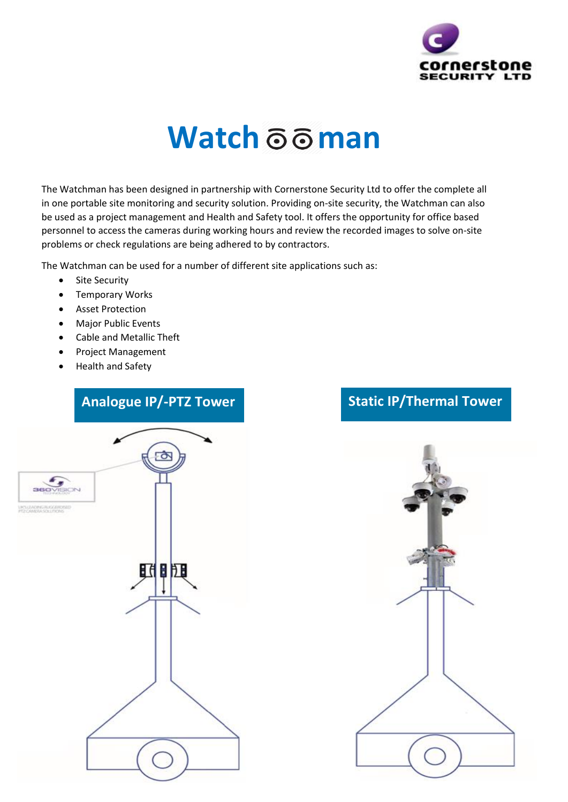

## **Watch 66 man**

The Watchman has been designed in partnership with Cornerstone Security Ltd to offer the complete all in one portable site monitoring and security solution. Providing on-site security, the Watchman can also be used as a project management and Health and Safety tool. It offers the opportunity for office based personnel to access the cameras during working hours and review the recorded images to solve on-site problems or check regulations are being adhered to by contractors.

The Watchman can be used for a number of different site applications such as:

- Site Security
- Temporary Works
- Asset Protection
- Major Public Events
- Cable and Metallic Theft
- Project Management
- Health and Safety